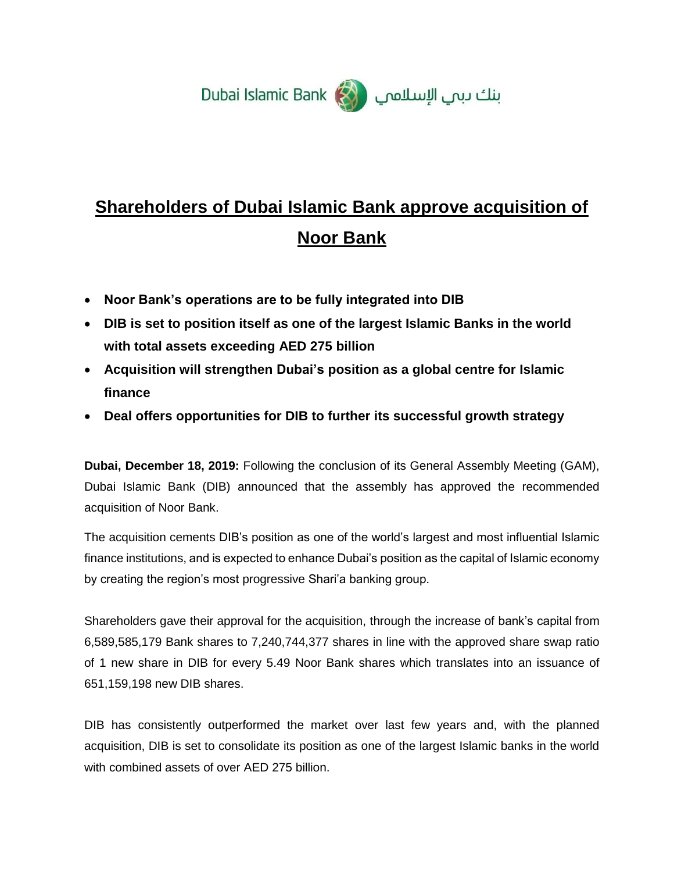

# **Shareholders of Dubai Islamic Bank approve acquisition of Noor Bank**

- **Noor Bank's operations are to be fully integrated into DIB**
- **DIB is set to position itself as one of the largest Islamic Banks in the world with total assets exceeding AED 275 billion**
- **Acquisition will strengthen Dubai's position as a global centre for Islamic finance**
- **Deal offers opportunities for DIB to further its successful growth strategy**

**Dubai, December 18, 2019:** Following the conclusion of its General Assembly Meeting (GAM), Dubai Islamic Bank (DIB) announced that the assembly has approved the recommended acquisition of Noor Bank.

The acquisition cements DIB's position as one of the world's largest and most influential Islamic finance institutions, and is expected to enhance Dubai's position as the capital of Islamic economy by creating the region's most progressive Shari'a banking group.

Shareholders gave their approval for the acquisition, through the increase of bank's capital from 6,589,585,179 Bank shares to 7,240,744,377 shares in line with the approved share swap ratio of 1 new share in DIB for every 5.49 Noor Bank shares which translates into an issuance of 651,159,198 new DIB shares.

DIB has consistently outperformed the market over last few years and, with the planned acquisition, DIB is set to consolidate its position as one of the largest Islamic banks in the world with combined assets of over AED 275 billion.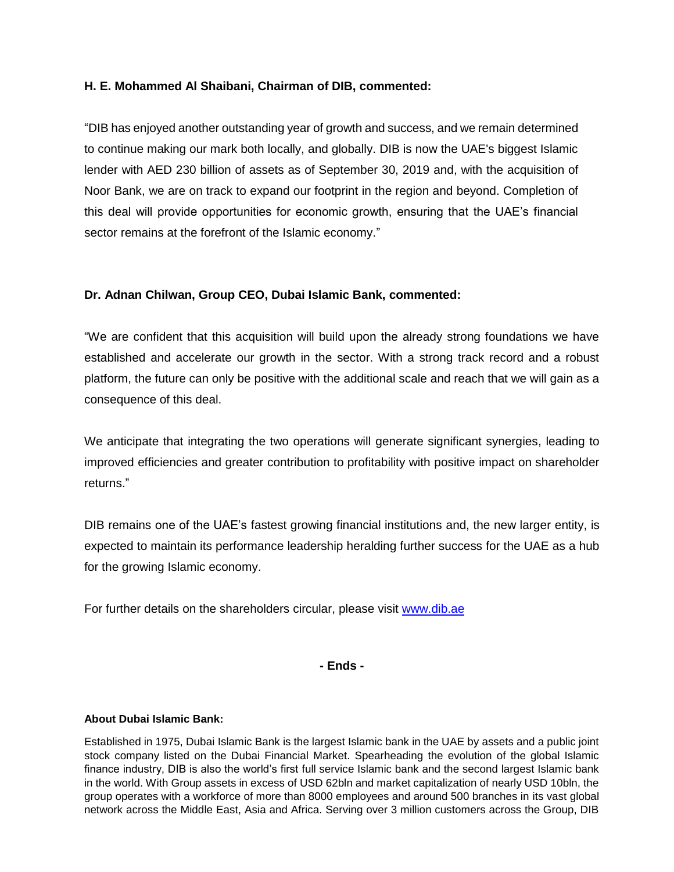# **H. E. Mohammed Al Shaibani, Chairman of DIB, commented:**

"DIB has enjoyed another outstanding year of growth and success, and we remain determined to continue making our mark both locally, and globally. DIB is now the UAE's biggest Islamic lender with AED 230 billion of assets as of September 30, 2019 and, with the acquisition of Noor Bank, we are on track to expand our footprint in the region and beyond. Completion of this deal will provide opportunities for economic growth, ensuring that the UAE's financial sector remains at the forefront of the Islamic economy."

# **Dr. Adnan Chilwan, Group CEO, Dubai Islamic Bank, commented:**

"We are confident that this acquisition will build upon the already strong foundations we have established and accelerate our growth in the sector. With a strong track record and a robust platform, the future can only be positive with the additional scale and reach that we will gain as a consequence of this deal.

We anticipate that integrating the two operations will generate significant synergies, leading to improved efficiencies and greater contribution to profitability with positive impact on shareholder returns."

DIB remains one of the UAE's fastest growing financial institutions and, the new larger entity, is expected to maintain its performance leadership heralding further success for the UAE as a hub for the growing Islamic economy.

For further details on the shareholders circular, please visit [www.dib.ae](http://www.dib.ae/)

**- Ends -**

#### **About Dubai Islamic Bank:**

Established in 1975, Dubai Islamic Bank is the largest Islamic bank in the UAE by assets and a public joint stock company listed on the Dubai Financial Market. Spearheading the evolution of the global Islamic finance industry, DIB is also the world's first full service Islamic bank and the second largest Islamic bank in the world. With Group assets in excess of USD 62bln and market capitalization of nearly USD 10bln, the group operates with a workforce of more than 8000 employees and around 500 branches in its vast global network across the Middle East, Asia and Africa. Serving over 3 million customers across the Group, DIB